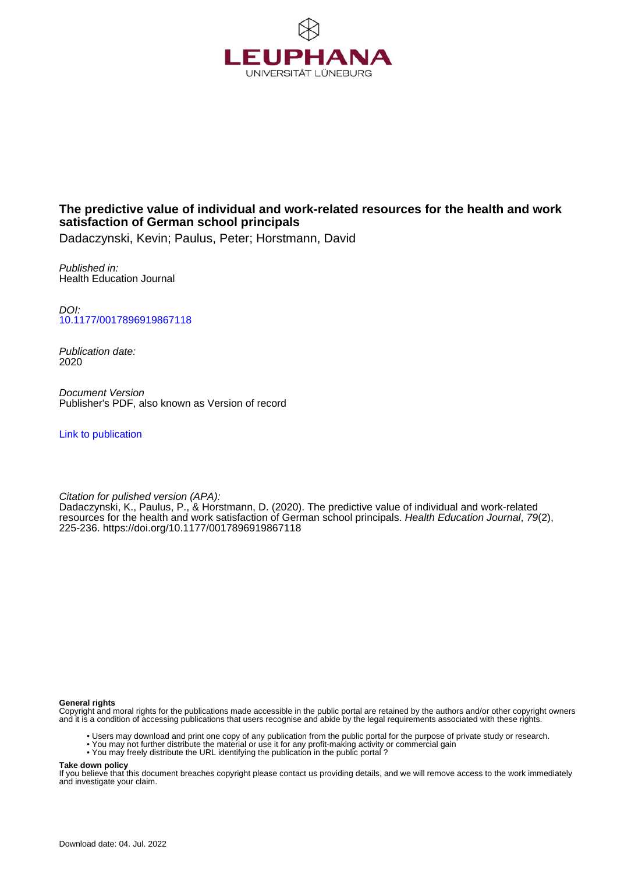

# **The predictive value of individual and work-related resources for the health and work satisfaction of German school principals**

Dadaczynski, Kevin; Paulus, Peter; Horstmann, David

Published in: Health Education Journal

DOI: [10.1177/0017896919867118](https://doi.org/10.1177/0017896919867118)

Publication date: 2020

Document Version Publisher's PDF, also known as Version of record

[Link to publication](http://fox.leuphana.de/portal/en/publications/the-predictive-value-of-individual-and-workrelated-resources-for-the-health-and-work-satisfaction-of-german-school-principals(cbf8f536-e237-4f1f-b05b-ed4f72c78238).html)

Citation for pulished version (APA): Dadaczynski, K.[, Paulus, P.,](http://fox.leuphana.de/portal/de/persons/peter-paulus(096dd3d9-3157-477e-b56f-6b420ffb7245).html) & Horstmann, D. (2020). [The predictive value of individual and work-related](http://fox.leuphana.de/portal/de/publications/the-predictive-value-of-individual-and-workrelated-resources-for-the-health-and-work-satisfaction-of-german-school-principals(cbf8f536-e237-4f1f-b05b-ed4f72c78238).html) [resources for the health and work satisfaction of German school principals.](http://fox.leuphana.de/portal/de/publications/the-predictive-value-of-individual-and-workrelated-resources-for-the-health-and-work-satisfaction-of-german-school-principals(cbf8f536-e237-4f1f-b05b-ed4f72c78238).html) [Health Education Journal](http://fox.leuphana.de/portal/de/journals/health-education-journal(ca554978-a0e1-4f8c-b467-bf88b26fc890)/publications.html), 79(2), 225-236.<https://doi.org/10.1177/0017896919867118>

#### **General rights**

Copyright and moral rights for the publications made accessible in the public portal are retained by the authors and/or other copyright owners and it is a condition of accessing publications that users recognise and abide by the legal requirements associated with these rights.

- Users may download and print one copy of any publication from the public portal for the purpose of private study or research.
- You may not further distribute the material or use it for any profit-making activity or commercial gain
- You may freely distribute the URL identifying the publication in the public portal ?

#### **Take down policy**

If you believe that this document breaches copyright please contact us providing details, and we will remove access to the work immediately and investigate your claim.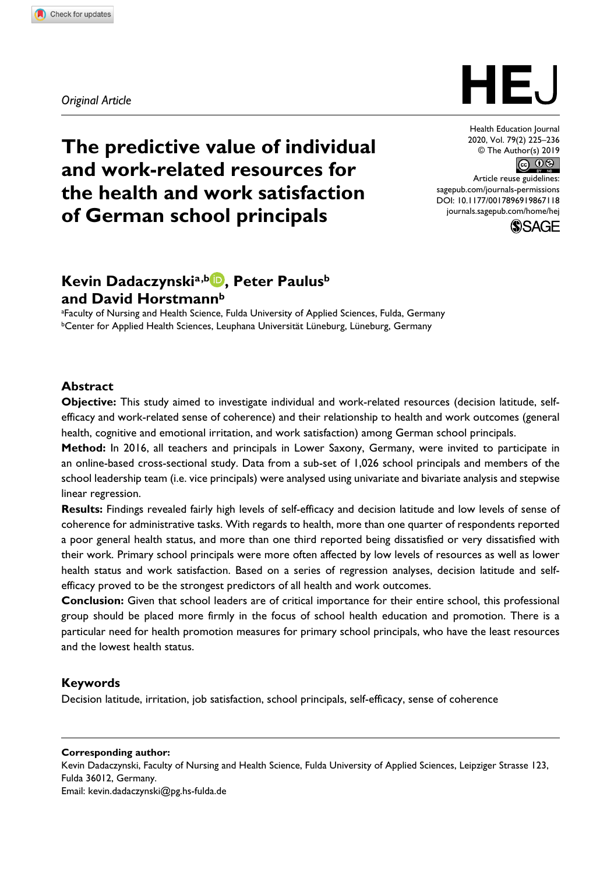*Original Article*



# HEJ

Health Education Journal 2020, Vol. 79(2) 225–236 © The Author(s) 2019  $\circledcirc$   $\circledcirc$ 

DOI: 10.1177/0017896919867118 Article reuse guidelines: [sagepub.com/journals-permissions](https://uk.sagepub.com/en-gb/journals-permissions) [journals.sagepub.com/home/hej](https://journals.sagepub.com/home/hej)



# **Kevin Dadaczynskia,b , Peter Paulusb and David Horstmannb**

a Faculty of Nursing and Health Science, Fulda University of Applied Sciences, Fulda, Germany bCenter for Applied Health Sciences, Leuphana Universität Lüneburg, Lüneburg, Germany

#### **Abstract**

**Objective:** This study aimed to investigate individual and work-related resources (decision latitude, selfefficacy and work-related sense of coherence) and their relationship to health and work outcomes (general health, cognitive and emotional irritation, and work satisfaction) among German school principals.

**Method:** In 2016, all teachers and principals in Lower Saxony, Germany, were invited to participate in an online-based cross-sectional study. Data from a sub-set of 1,026 school principals and members of the school leadership team (i.e. vice principals) were analysed using univariate and bivariate analysis and stepwise linear regression.

**Results:** Findings revealed fairly high levels of self-efficacy and decision latitude and low levels of sense of coherence for administrative tasks. With regards to health, more than one quarter of respondents reported a poor general health status, and more than one third reported being dissatisfied or very dissatisfied with their work. Primary school principals were more often affected by low levels of resources as well as lower health status and work satisfaction. Based on a series of regression analyses, decision latitude and selfefficacy proved to be the strongest predictors of all health and work outcomes.

**Conclusion:** Given that school leaders are of critical importance for their entire school, this professional group should be placed more firmly in the focus of school health education and promotion. There is a particular need for health promotion measures for primary school principals, who have the least resources and the lowest health status.

#### **Keywords**

Decision latitude, irritation, job satisfaction, school principals, self-efficacy, sense of coherence

#### **Corresponding author:**

Kevin Dadaczynski, Faculty of Nursing and Health Science, Fulda University of Applied Sciences, Leipziger Strasse 123, Fulda 36012, Germany.

Email: [kevin.dadaczynski@pg.hs-fulda.de](mailto:kevin.dadaczynski@pg.hs-fulda.de)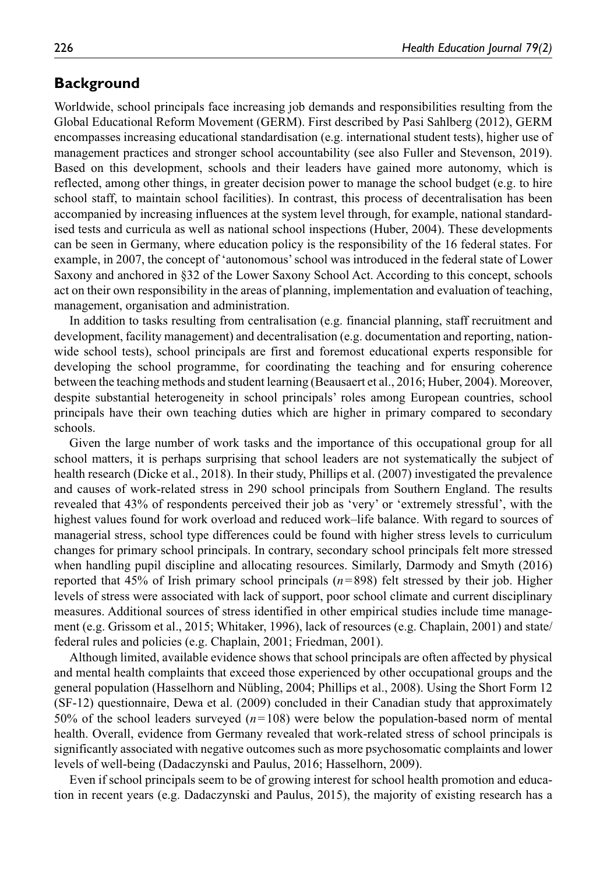# **Background**

Worldwide, school principals face increasing job demands and responsibilities resulting from the Global Educational Reform Movement (GERM). First described by Pasi Sahlberg (2012), GERM encompasses increasing educational standardisation (e.g. international student tests), higher use of management practices and stronger school accountability (see also Fuller and Stevenson, 2019). Based on this development, schools and their leaders have gained more autonomy, which is reflected, among other things, in greater decision power to manage the school budget (e.g. to hire school staff, to maintain school facilities). In contrast, this process of decentralisation has been accompanied by increasing influences at the system level through, for example, national standardised tests and curricula as well as national school inspections (Huber, 2004). These developments can be seen in Germany, where education policy is the responsibility of the 16 federal states. For example, in 2007, the concept of 'autonomous' school was introduced in the federal state of Lower Saxony and anchored in §32 of the Lower Saxony School Act. According to this concept, schools act on their own responsibility in the areas of planning, implementation and evaluation of teaching, management, organisation and administration.

In addition to tasks resulting from centralisation (e.g. financial planning, staff recruitment and development, facility management) and decentralisation (e.g. documentation and reporting, nationwide school tests), school principals are first and foremost educational experts responsible for developing the school programme, for coordinating the teaching and for ensuring coherence between the teaching methods and student learning (Beausaert et al., 2016; Huber, 2004). Moreover, despite substantial heterogeneity in school principals' roles among European countries, school principals have their own teaching duties which are higher in primary compared to secondary schools.

Given the large number of work tasks and the importance of this occupational group for all school matters, it is perhaps surprising that school leaders are not systematically the subject of health research (Dicke et al., 2018). In their study, Phillips et al. (2007) investigated the prevalence and causes of work-related stress in 290 school principals from Southern England. The results revealed that 43% of respondents perceived their job as 'very' or 'extremely stressful', with the highest values found for work overload and reduced work–life balance. With regard to sources of managerial stress, school type differences could be found with higher stress levels to curriculum changes for primary school principals. In contrary, secondary school principals felt more stressed when handling pupil discipline and allocating resources. Similarly, Darmody and Smyth (2016) reported that 45% of Irish primary school principals (*n*=898) felt stressed by their job. Higher levels of stress were associated with lack of support, poor school climate and current disciplinary measures. Additional sources of stress identified in other empirical studies include time management (e.g. Grissom et al., 2015; Whitaker, 1996), lack of resources (e.g. Chaplain, 2001) and state/ federal rules and policies (e.g. Chaplain, 2001; Friedman, 2001).

Although limited, available evidence shows that school principals are often affected by physical and mental health complaints that exceed those experienced by other occupational groups and the general population (Hasselhorn and Nübling, 2004; Phillips et al., 2008). Using the Short Form 12 (SF-12) questionnaire, Dewa et al. (2009) concluded in their Canadian study that approximately 50% of the school leaders surveyed (*n*=108) were below the population-based norm of mental health. Overall, evidence from Germany revealed that work-related stress of school principals is significantly associated with negative outcomes such as more psychosomatic complaints and lower levels of well-being (Dadaczynski and Paulus, 2016; Hasselhorn, 2009).

Even if school principals seem to be of growing interest for school health promotion and education in recent years (e.g. Dadaczynski and Paulus, 2015), the majority of existing research has a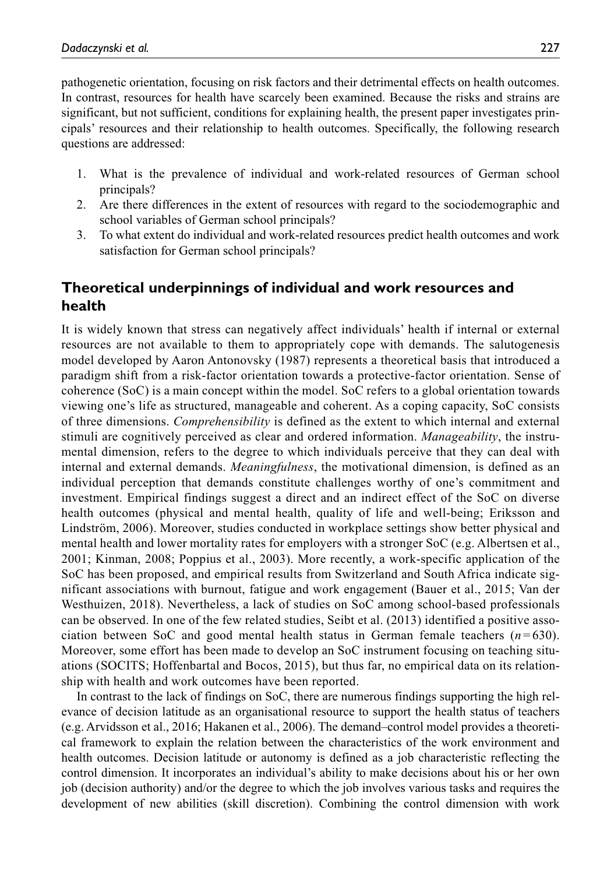pathogenetic orientation, focusing on risk factors and their detrimental effects on health outcomes. In contrast, resources for health have scarcely been examined. Because the risks and strains are significant, but not sufficient, conditions for explaining health, the present paper investigates principals' resources and their relationship to health outcomes. Specifically, the following research questions are addressed:

- 1. What is the prevalence of individual and work-related resources of German school principals?
- 2. Are there differences in the extent of resources with regard to the sociodemographic and school variables of German school principals?
- 3. To what extent do individual and work-related resources predict health outcomes and work satisfaction for German school principals?

# **Theoretical underpinnings of individual and work resources and health**

It is widely known that stress can negatively affect individuals' health if internal or external resources are not available to them to appropriately cope with demands. The salutogenesis model developed by Aaron Antonovsky (1987) represents a theoretical basis that introduced a paradigm shift from a risk-factor orientation towards a protective-factor orientation. Sense of coherence (SoC) is a main concept within the model. SoC refers to a global orientation towards viewing one's life as structured, manageable and coherent. As a coping capacity, SoC consists of three dimensions. *Comprehensibility* is defined as the extent to which internal and external stimuli are cognitively perceived as clear and ordered information. *Manageability*, the instrumental dimension, refers to the degree to which individuals perceive that they can deal with internal and external demands. *Meaningfulness*, the motivational dimension, is defined as an individual perception that demands constitute challenges worthy of one's commitment and investment. Empirical findings suggest a direct and an indirect effect of the SoC on diverse health outcomes (physical and mental health, quality of life and well-being; Eriksson and Lindström, 2006). Moreover, studies conducted in workplace settings show better physical and mental health and lower mortality rates for employers with a stronger SoC (e.g. Albertsen et al., 2001; Kinman, 2008; Poppius et al., 2003). More recently, a work-specific application of the SoC has been proposed, and empirical results from Switzerland and South Africa indicate significant associations with burnout, fatigue and work engagement (Bauer et al., 2015; Van der Westhuizen, 2018). Nevertheless, a lack of studies on SoC among school-based professionals can be observed. In one of the few related studies, Seibt et al. (2013) identified a positive association between SoC and good mental health status in German female teachers  $(n=630)$ . Moreover, some effort has been made to develop an SoC instrument focusing on teaching situations (SOCITS; Hoffenbartal and Bocos, 2015), but thus far, no empirical data on its relationship with health and work outcomes have been reported.

In contrast to the lack of findings on SoC, there are numerous findings supporting the high relevance of decision latitude as an organisational resource to support the health status of teachers (e.g. Arvidsson et al., 2016; Hakanen et al., 2006). The demand–control model provides a theoretical framework to explain the relation between the characteristics of the work environment and health outcomes. Decision latitude or autonomy is defined as a job characteristic reflecting the control dimension. It incorporates an individual's ability to make decisions about his or her own job (decision authority) and/or the degree to which the job involves various tasks and requires the development of new abilities (skill discretion). Combining the control dimension with work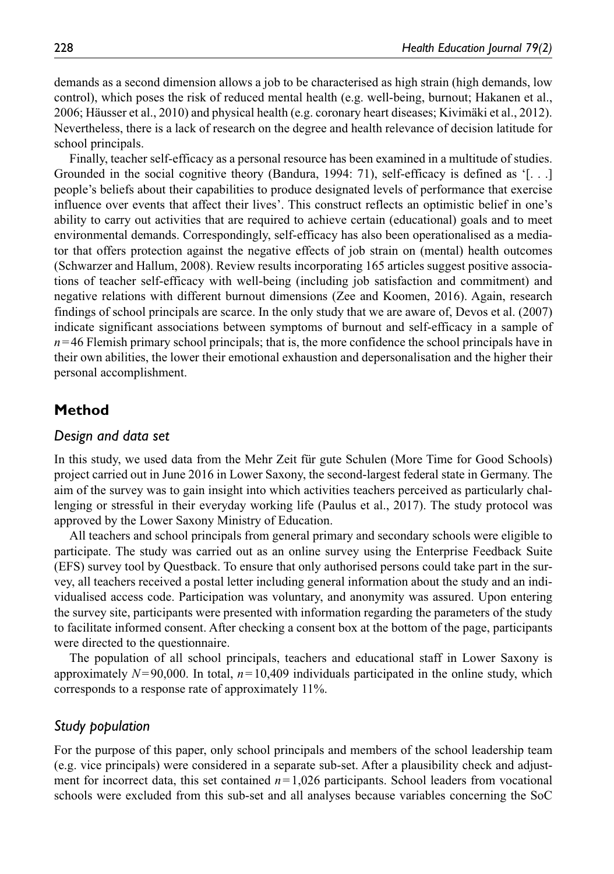demands as a second dimension allows a job to be characterised as high strain (high demands, low control), which poses the risk of reduced mental health (e.g. well-being, burnout; Hakanen et al., 2006; Häusser et al., 2010) and physical health (e.g. coronary heart diseases; Kivimäki et al., 2012). Nevertheless, there is a lack of research on the degree and health relevance of decision latitude for school principals.

Finally, teacher self-efficacy as a personal resource has been examined in a multitude of studies. Grounded in the social cognitive theory (Bandura, 1994: 71), self-efficacy is defined as '[. . .] people's beliefs about their capabilities to produce designated levels of performance that exercise influence over events that affect their lives'. This construct reflects an optimistic belief in one's ability to carry out activities that are required to achieve certain (educational) goals and to meet environmental demands. Correspondingly, self-efficacy has also been operationalised as a mediator that offers protection against the negative effects of job strain on (mental) health outcomes (Schwarzer and Hallum, 2008). Review results incorporating 165 articles suggest positive associations of teacher self-efficacy with well-being (including job satisfaction and commitment) and negative relations with different burnout dimensions (Zee and Koomen, 2016). Again, research findings of school principals are scarce. In the only study that we are aware of, Devos et al. (2007) indicate significant associations between symptoms of burnout and self-efficacy in a sample of  $n=46$  Flemish primary school principals; that is, the more confidence the school principals have in their own abilities, the lower their emotional exhaustion and depersonalisation and the higher their personal accomplishment.

# **Method**

#### *Design and data set*

In this study, we used data from the Mehr Zeit für gute Schulen (More Time for Good Schools) project carried out in June 2016 in Lower Saxony, the second-largest federal state in Germany. The aim of the survey was to gain insight into which activities teachers perceived as particularly challenging or stressful in their everyday working life (Paulus et al., 2017). The study protocol was approved by the Lower Saxony Ministry of Education.

All teachers and school principals from general primary and secondary schools were eligible to participate. The study was carried out as an online survey using the Enterprise Feedback Suite (EFS) survey tool by Questback. To ensure that only authorised persons could take part in the survey, all teachers received a postal letter including general information about the study and an individualised access code. Participation was voluntary, and anonymity was assured. Upon entering the survey site, participants were presented with information regarding the parameters of the study to facilitate informed consent. After checking a consent box at the bottom of the page, participants were directed to the questionnaire.

The population of all school principals, teachers and educational staff in Lower Saxony is approximately  $N=90,000$ . In total,  $n=10,409$  individuals participated in the online study, which corresponds to a response rate of approximately 11%.

#### *Study population*

For the purpose of this paper, only school principals and members of the school leadership team (e.g. vice principals) were considered in a separate sub-set. After a plausibility check and adjustment for incorrect data, this set contained  $n=1,026$  participants. School leaders from vocational schools were excluded from this sub-set and all analyses because variables concerning the SoC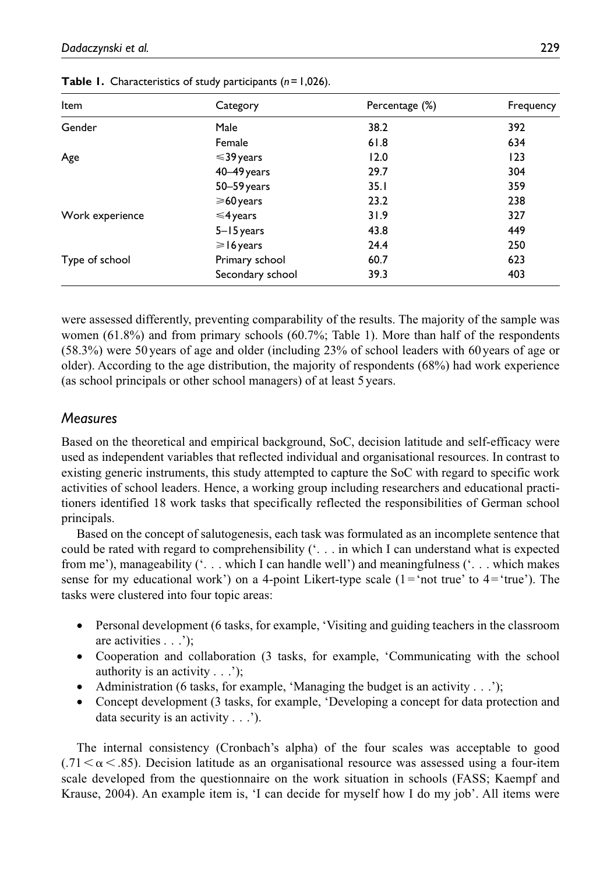| Item            | Category         | Percentage (%) | Frequency |  |  |
|-----------------|------------------|----------------|-----------|--|--|
| Gender          | Male             | 38.2           | 392       |  |  |
|                 | Female           | 61.8           | 634       |  |  |
| Age             | $\leq$ 39 years  | 12.0           | 123       |  |  |
|                 | 40-49 years      | 29.7           | 304       |  |  |
|                 | 50-59 years      | 35.1           | 359       |  |  |
|                 | $\geq 60$ years  | 23.2           | 238       |  |  |
| Work experience | $\leq 4$ years   | 31.9           | 327       |  |  |
|                 | 5-15 years       | 43.8           | 449       |  |  |
|                 | $\geq 16$ years  | 24.4           | 250       |  |  |
| Type of school  | Primary school   | 60.7           | 623       |  |  |
|                 | Secondary school | 39.3           | 403       |  |  |

**Table 1.** Characteristics of study participants (*n*=1,026).

were assessed differently, preventing comparability of the results. The majority of the sample was women (61.8%) and from primary schools (60.7%; Table 1). More than half of the respondents (58.3%) were 50years of age and older (including 23% of school leaders with 60years of age or older). According to the age distribution, the majority of respondents (68%) had work experience (as school principals or other school managers) of at least 5years.

# *Measures*

Based on the theoretical and empirical background, SoC, decision latitude and self-efficacy were used as independent variables that reflected individual and organisational resources. In contrast to existing generic instruments, this study attempted to capture the SoC with regard to specific work activities of school leaders. Hence, a working group including researchers and educational practitioners identified 18 work tasks that specifically reflected the responsibilities of German school principals.

Based on the concept of salutogenesis, each task was formulated as an incomplete sentence that could be rated with regard to comprehensibility ('. . . in which I can understand what is expected from me'), manageability ('. . . which I can handle well') and meaningfulness ('. . . which makes sense for my educational work') on a 4-point Likert-type scale  $(1 = 'not true' to 4 = 'true')$ . The tasks were clustered into four topic areas:

- Personal development (6 tasks, for example, 'Visiting and guiding teachers in the classroom are activities . . .');
- Cooperation and collaboration (3 tasks, for example, 'Communicating with the school authority is an activity . . .');
- Administration (6 tasks, for example, 'Managing the budget is an activity . . .');
- Concept development (3 tasks, for example, 'Developing a concept for data protection and data security is an activity . . .').

The internal consistency (Cronbach's alpha) of the four scales was acceptable to good  $(0.71 \le \alpha \le 0.85)$ . Decision latitude as an organisational resource was assessed using a four-item scale developed from the questionnaire on the work situation in schools (FASS; Kaempf and Krause, 2004). An example item is, 'I can decide for myself how I do my job'. All items were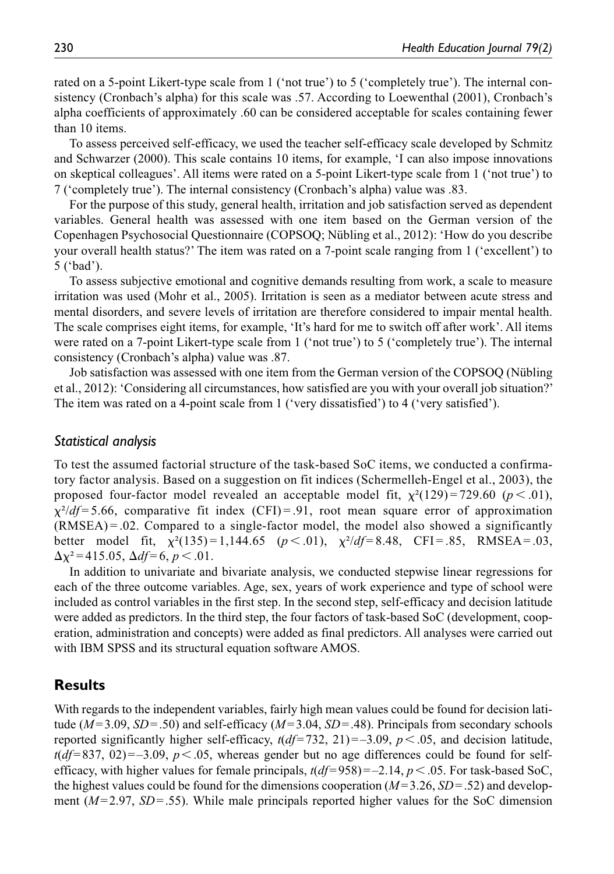rated on a 5-point Likert-type scale from 1 ('not true') to 5 ('completely true'). The internal consistency (Cronbach's alpha) for this scale was .57. According to Loewenthal (2001), Cronbach's alpha coefficients of approximately .60 can be considered acceptable for scales containing fewer than 10 items.

To assess perceived self-efficacy, we used the teacher self-efficacy scale developed by Schmitz and Schwarzer (2000). This scale contains 10 items, for example, 'I can also impose innovations on skeptical colleagues'. All items were rated on a 5-point Likert-type scale from 1 ('not true') to 7 ('completely true'). The internal consistency (Cronbach's alpha) value was .83.

For the purpose of this study, general health, irritation and job satisfaction served as dependent variables. General health was assessed with one item based on the German version of the Copenhagen Psychosocial Questionnaire (COPSOQ; Nübling et al., 2012): 'How do you describe your overall health status?' The item was rated on a 7-point scale ranging from 1 ('excellent') to 5 ('bad').

To assess subjective emotional and cognitive demands resulting from work, a scale to measure irritation was used (Mohr et al., 2005). Irritation is seen as a mediator between acute stress and mental disorders, and severe levels of irritation are therefore considered to impair mental health. The scale comprises eight items, for example, 'It's hard for me to switch off after work'. All items were rated on a 7-point Likert-type scale from 1 ('not true') to 5 ('completely true'). The internal consistency (Cronbach's alpha) value was .87.

Job satisfaction was assessed with one item from the German version of the COPSOQ (Nübling et al., 2012): 'Considering all circumstances, how satisfied are you with your overall job situation?' The item was rated on a 4-point scale from 1 ('very dissatisfied') to 4 ('very satisfied').

#### *Statistical analysis*

To test the assumed factorial structure of the task-based SoC items, we conducted a confirmatory factor analysis. Based on a suggestion on fit indices (Schermelleh-Engel et al., 2003), the proposed four-factor model revealed an acceptable model fit,  $\chi^2(129) = 729.60$  ( $p < .01$ ),  $\chi^2/df = 5.66$ , comparative fit index (CFI) = .91, root mean square error of approximation  $(RMSEA) = 0.02$ . Compared to a single-factor model, the model also showed a significantly better model fit,  $\chi^2(135) = 1,144.65$   $(p < .01)$ ,  $\chi^2/df = 8.48$ , CFI = .85, RMSEA = .03,  $\Delta \chi^2$  = 415.05,  $\Delta df$  = 6, *p* < .01.

In addition to univariate and bivariate analysis, we conducted stepwise linear regressions for each of the three outcome variables. Age, sex, years of work experience and type of school were included as control variables in the first step. In the second step, self-efficacy and decision latitude were added as predictors. In the third step, the four factors of task-based SoC (development, cooperation, administration and concepts) were added as final predictors. All analyses were carried out with IBM SPSS and its structural equation software AMOS.

# **Results**

With regards to the independent variables, fairly high mean values could be found for decision latitude (*M*=3.09, *SD*=.50) and self-efficacy (*M*=3.04, *SD*=.48). Principals from secondary schools reported significantly higher self-efficacy,  $t(df=732, 21)=-3.09$ ,  $p < .05$ , and decision latitude,  $t(df=837, 02)=-3.09, p<.05$ , whereas gender but no age differences could be found for selfefficacy, with higher values for female principals,  $t(df=958) = -2.14$ ,  $p < .05$ . For task-based SoC, the highest values could be found for the dimensions cooperation (*M*=3.26, *SD*=.52) and development  $(M=2.97, SD=.55)$ . While male principals reported higher values for the SoC dimension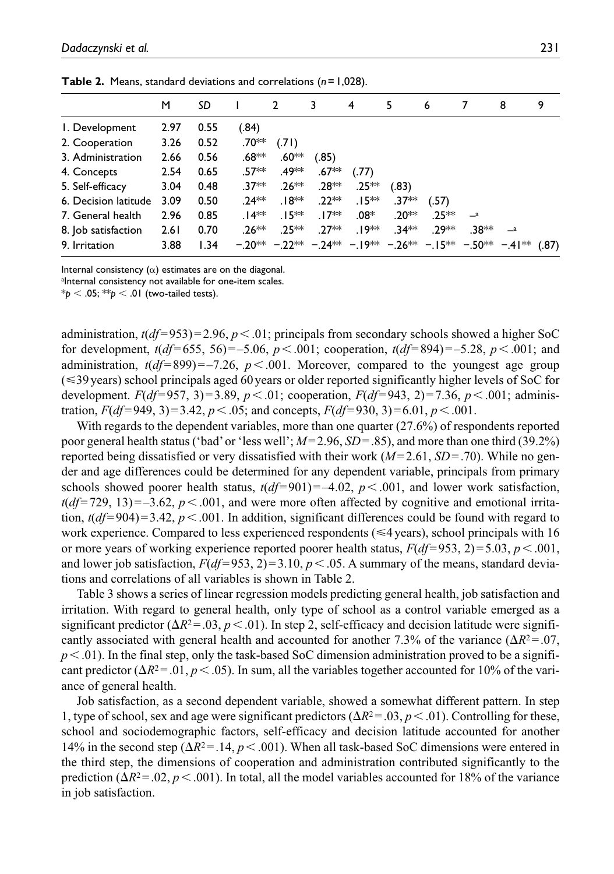| .                    |      |      |         |                                                                              |         |         |         |        |       |            |       |
|----------------------|------|------|---------|------------------------------------------------------------------------------|---------|---------|---------|--------|-------|------------|-------|
|                      | м    | SD   |         | 2                                                                            | 3       | 4       | 5       | 6      |       | 8          | 9     |
| I. Development       | 2.97 | 0.55 | (.84)   |                                                                              |         |         |         |        |       |            |       |
| 2. Cooperation       | 3.26 | 0.52 | .70**   | (.71)                                                                        |         |         |         |        |       |            |       |
| 3. Administration    | 2.66 | 0.56 | .68**   | .60**                                                                        | (.85)   |         |         |        |       |            |       |
| 4. Concepts          | 2.54 | 0.65 | $.57**$ | .49**                                                                        | $.67**$ | (.77)   |         |        |       |            |       |
| 5. Self-efficacy     | 3.04 | 0.48 | .37**   | $.26**$                                                                      | .28**   | $.25**$ | (.83)   |        |       |            |       |
| 6. Decision latitude | 3.09 | 0.50 | $.24**$ | .18**                                                                        | $.22**$ | $.15**$ | $.37**$ | (.57)  |       |            |       |
| 7. General health    | 2.96 | 0.85 | $.14**$ | $.15**$                                                                      | . I 7** | $.08*$  | .20**   | $25**$ | $-a$  |            |       |
| 8. Job satisfaction  | 2.61 | 0.70 | $.26**$ | .25 **                                                                       | $.27**$ | .19**   | $.34**$ | .29**  | .38** | $\equiv$ a |       |
| 9. Irritation        | 3.88 | 1.34 |         | $-0.20***$ $-0.22***$ $-0.24***$ $-0.19***$ $-0.26***$ $-0.15***$ $-0.50***$ |         |         |         |        |       | $-.41***$  | (.87) |

**Table 2.** Means, standard deviations and correlations (*n*=1,028).

Internal consistency  $(\alpha)$  estimates are on the diagonal.

alnternal consistency not available for one-item scales.

 $*_p$  < .05;  $*_p$  < .01 (two-tailed tests).

administration,  $t(df=953)=2.96$ ,  $p<.01$ ; principals from secondary schools showed a higher SoC for development, *t*(*df*=655, 56)=–5.06, *p*<.001; cooperation, *t*(*df*=894)=–5.28, *p*<.001; and administration,  $t(df=899) = -7.26$ ,  $p < .001$ . Moreover, compared to the youngest age group (≤39 years) school principals aged 60 years or older reported significantly higher levels of SoC for development.  $F(df=957, 3)=3.89, p < .01$ ; cooperation,  $F(df=943, 2)=7.36, p < .001$ ; administration,  $F(df=949, 3)=3.42, p<.05$ ; and concepts,  $F(df=930, 3)=6.01, p<.001$ .

With regards to the dependent variables, more than one quarter (27.6%) of respondents reported poor general health status ('bad' or 'less well'; *M*=2.96, *SD*=.85), and more than one third (39.2%) reported being dissatisfied or very dissatisfied with their work (*M*=2.61, *SD*=.70). While no gender and age differences could be determined for any dependent variable, principals from primary schools showed poorer health status,  $t(df=901) = -4.02$ ,  $p < .001$ , and lower work satisfaction,  $t(df=729, 13) = -3.62, p < .001$ , and were more often affected by cognitive and emotional irritation,  $t(df=904)=3.42$ ,  $p < .001$ . In addition, significant differences could be found with regard to work experience. Compared to less experienced respondents ( $\leq 4$ years), school principals with 16 or more years of working experience reported poorer health status,  $F(df=953, 2)=5.03, p<.001$ , and lower job satisfaction,  $F(df=953, 2)=3.10, p<.05$ . A summary of the means, standard deviations and correlations of all variables is shown in Table 2.

Table 3 shows a series of linear regression models predicting general health, job satisfaction and irritation. With regard to general health, only type of school as a control variable emerged as a significant predictor  $(\Delta R^2 = .03, p < .01)$ . In step 2, self-efficacy and decision latitude were significantly associated with general health and accounted for another 7.3% of the variance  $(\Delta R^2 = 0.07)$ ,  $p<.01$ ). In the final step, only the task-based SoC dimension administration proved to be a significant predictor ( $\Delta R^2 = 0.01$ ,  $p < .05$ ). In sum, all the variables together accounted for 10% of the variance of general health.

Job satisfaction, as a second dependent variable, showed a somewhat different pattern. In step 1, type of school, sex and age were significant predictors (Δ*R*2=.03, *p*<.01). Controlling for these, school and sociodemographic factors, self-efficacy and decision latitude accounted for another 14% in the second step ( $\Delta R^2 = 0.14$ ,  $p < 0.01$ ). When all task-based SoC dimensions were entered in the third step, the dimensions of cooperation and administration contributed significantly to the prediction  $(\Delta R^2 = 0.02, p < 0.001)$ . In total, all the model variables accounted for 18% of the variance in job satisfaction.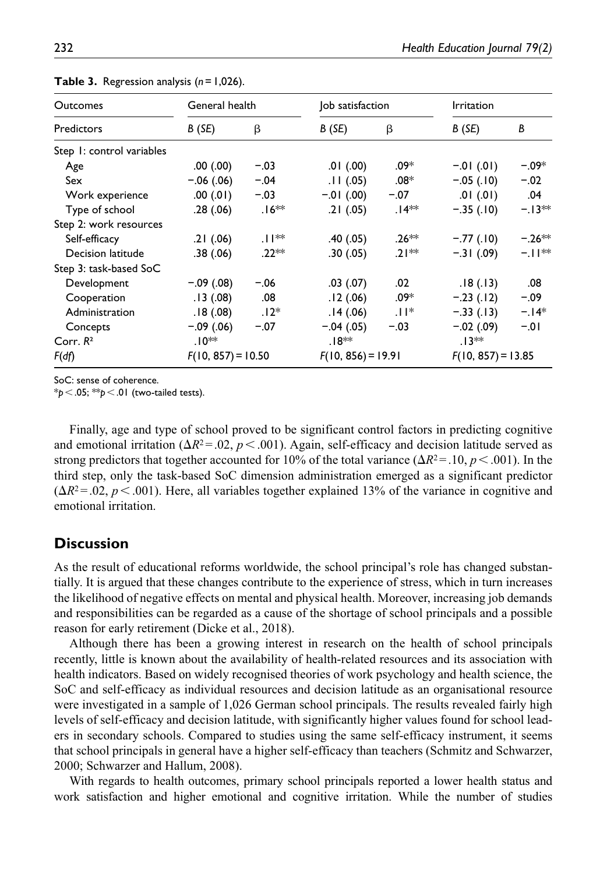| <b>Outcomes</b>           |                      | General health |                      | Job satisfaction | <b>Irritation</b>    |          |  |  |
|---------------------------|----------------------|----------------|----------------------|------------------|----------------------|----------|--|--|
| Predictors                | B(SE)                | β              | B(SE)                | β                | B(SE)                | B        |  |  |
| Step 1: control variables |                      |                |                      |                  |                      |          |  |  |
| Age                       | .00(.00)             | $-.03$         | .01(.00)             | .09*             | $-.01$ (.01)         | $-.09*$  |  |  |
| Sex                       | $-.06(.06)$          | $-.04$         | .11(.05)             | $.08*$           | $-.05(.10)$          | $-.02$   |  |  |
| Work experience           | .00(0.01)            | $-.03$         | $-.01$ (.00)         | $-.07$           | .01(.01)             | .04      |  |  |
| Type of school            | .28(.06)             | $.16**$        | .21(.05)             | $.14**$          | $-.35(.10)$          | $-.13**$ |  |  |
| Step 2: work resources    |                      |                |                      |                  |                      |          |  |  |
| Self-efficacy             | .21(.06)             | $.  ^*$        | .40(.05)             | $.26**$          | $-.77$ (.10)         | $-.26**$ |  |  |
| Decision latitude         | .38(.06)             | .22**          | .30(0.05)            | $.21**$          | $-.31(.09)$          | $-11**$  |  |  |
| Step 3: task-based SoC    |                      |                |                      |                  |                      |          |  |  |
| Development               | $-.09(.08)$          | $-.06$         | .03(0.07)            | .02              | .18(.13)             | .08      |  |  |
| Cooperation               | .13(0.08)            | .08            | .12(0.06)            | .09*             | $-.23(.12)$          | $-.09$   |  |  |
| Administration            | .18(0.08)            | $.12*$         | .14(0.06)            | $ 1 ^*$          | $-.33(.13)$          | $-14*$   |  |  |
| Concepts                  | $-.09(.06)$          | $-.07$         | $-.04(.05)$          | $-.03$           | $-.02(.09)$          | $-.01$   |  |  |
| Corr. $R^2$               | .10**                |                | .18**                |                  | $.13**$              |          |  |  |
| F(df)                     | $F(10, 857) = 10.50$ |                | $F(10, 856) = 19.91$ |                  | $F(10, 857) = 13.85$ |          |  |  |

**Table 3.** Regression analysis (*n*=1,026).

SoC: sense of coherence.

\**p*<.05; \*\**p*<.01 (two-tailed tests).

Finally, age and type of school proved to be significant control factors in predicting cognitive and emotional irritation ( $\Delta R^2 = 0.02$ ,  $p < .001$ ). Again, self-efficacy and decision latitude served as strong predictors that together accounted for 10% of the total variance (Δ*R*2=.10, *p*<.001). In the third step, only the task-based SoC dimension administration emerged as a significant predictor  $(\Delta R^2 = 0.02, p < 0.001)$ . Here, all variables together explained 13% of the variance in cognitive and emotional irritation.

# **Discussion**

As the result of educational reforms worldwide, the school principal's role has changed substantially. It is argued that these changes contribute to the experience of stress, which in turn increases the likelihood of negative effects on mental and physical health. Moreover, increasing job demands and responsibilities can be regarded as a cause of the shortage of school principals and a possible reason for early retirement (Dicke et al., 2018).

Although there has been a growing interest in research on the health of school principals recently, little is known about the availability of health-related resources and its association with health indicators. Based on widely recognised theories of work psychology and health science, the SoC and self-efficacy as individual resources and decision latitude as an organisational resource were investigated in a sample of 1,026 German school principals. The results revealed fairly high levels of self-efficacy and decision latitude, with significantly higher values found for school leaders in secondary schools. Compared to studies using the same self-efficacy instrument, it seems that school principals in general have a higher self-efficacy than teachers (Schmitz and Schwarzer, 2000; Schwarzer and Hallum, 2008).

With regards to health outcomes, primary school principals reported a lower health status and work satisfaction and higher emotional and cognitive irritation. While the number of studies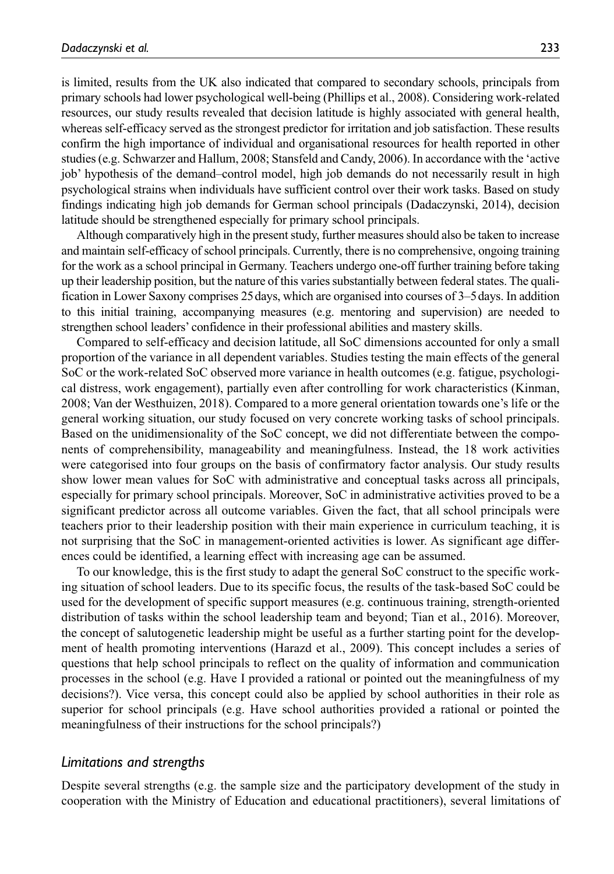is limited, results from the UK also indicated that compared to secondary schools, principals from primary schools had lower psychological well-being (Phillips et al., 2008). Considering work-related resources, our study results revealed that decision latitude is highly associated with general health, whereas self-efficacy served as the strongest predictor for irritation and job satisfaction. These results confirm the high importance of individual and organisational resources for health reported in other studies (e.g. Schwarzer and Hallum, 2008; Stansfeld and Candy, 2006). In accordance with the 'active job' hypothesis of the demand–control model, high job demands do not necessarily result in high psychological strains when individuals have sufficient control over their work tasks. Based on study findings indicating high job demands for German school principals (Dadaczynski, 2014), decision latitude should be strengthened especially for primary school principals.

Although comparatively high in the present study, further measures should also be taken to increase and maintain self-efficacy of school principals. Currently, there is no comprehensive, ongoing training for the work as a school principal in Germany. Teachers undergo one-off further training before taking up their leadership position, but the nature of this varies substantially between federal states. The qualification in Lower Saxony comprises 25days, which are organised into courses of 3–5days. In addition to this initial training, accompanying measures (e.g. mentoring and supervision) are needed to strengthen school leaders' confidence in their professional abilities and mastery skills.

Compared to self-efficacy and decision latitude, all SoC dimensions accounted for only a small proportion of the variance in all dependent variables. Studies testing the main effects of the general SoC or the work-related SoC observed more variance in health outcomes (e.g. fatigue, psychological distress, work engagement), partially even after controlling for work characteristics (Kinman, 2008; Van der Westhuizen, 2018). Compared to a more general orientation towards one's life or the general working situation, our study focused on very concrete working tasks of school principals. Based on the unidimensionality of the SoC concept, we did not differentiate between the components of comprehensibility, manageability and meaningfulness. Instead, the 18 work activities were categorised into four groups on the basis of confirmatory factor analysis. Our study results show lower mean values for SoC with administrative and conceptual tasks across all principals, especially for primary school principals. Moreover, SoC in administrative activities proved to be a significant predictor across all outcome variables. Given the fact, that all school principals were teachers prior to their leadership position with their main experience in curriculum teaching, it is not surprising that the SoC in management-oriented activities is lower. As significant age differences could be identified, a learning effect with increasing age can be assumed.

To our knowledge, this is the first study to adapt the general SoC construct to the specific working situation of school leaders. Due to its specific focus, the results of the task-based SoC could be used for the development of specific support measures (e.g. continuous training, strength-oriented distribution of tasks within the school leadership team and beyond; Tian et al., 2016). Moreover, the concept of salutogenetic leadership might be useful as a further starting point for the development of health promoting interventions (Harazd et al., 2009). This concept includes a series of questions that help school principals to reflect on the quality of information and communication processes in the school (e.g. Have I provided a rational or pointed out the meaningfulness of my decisions?). Vice versa, this concept could also be applied by school authorities in their role as superior for school principals (e.g. Have school authorities provided a rational or pointed the meaningfulness of their instructions for the school principals?)

#### *Limitations and strengths*

Despite several strengths (e.g. the sample size and the participatory development of the study in cooperation with the Ministry of Education and educational practitioners), several limitations of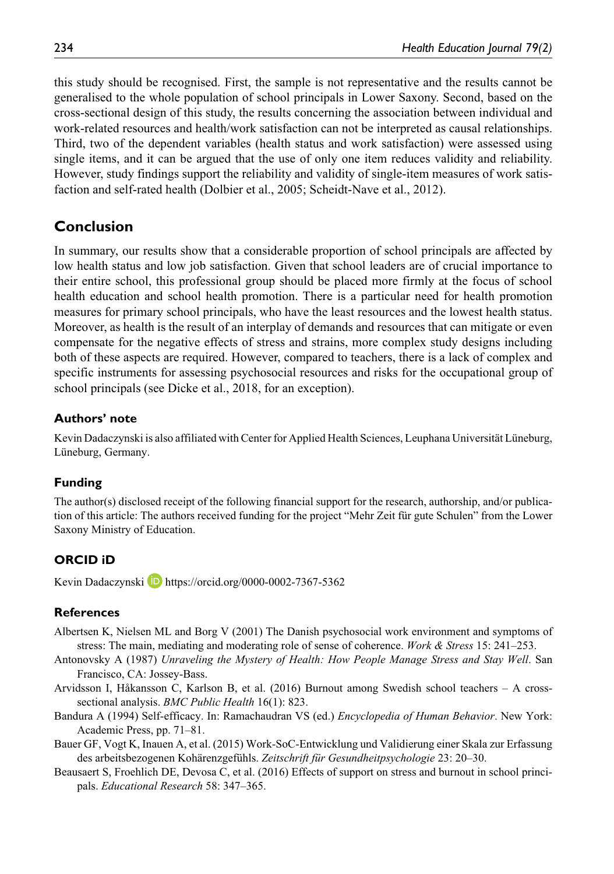this study should be recognised. First, the sample is not representative and the results cannot be generalised to the whole population of school principals in Lower Saxony. Second, based on the cross-sectional design of this study, the results concerning the association between individual and work-related resources and health/work satisfaction can not be interpreted as causal relationships. Third, two of the dependent variables (health status and work satisfaction) were assessed using single items, and it can be argued that the use of only one item reduces validity and reliability. However, study findings support the reliability and validity of single-item measures of work satisfaction and self-rated health (Dolbier et al., 2005; Scheidt-Nave et al., 2012).

# **Conclusion**

In summary, our results show that a considerable proportion of school principals are affected by low health status and low job satisfaction. Given that school leaders are of crucial importance to their entire school, this professional group should be placed more firmly at the focus of school health education and school health promotion. There is a particular need for health promotion measures for primary school principals, who have the least resources and the lowest health status. Moreover, as health is the result of an interplay of demands and resources that can mitigate or even compensate for the negative effects of stress and strains, more complex study designs including both of these aspects are required. However, compared to teachers, there is a lack of complex and specific instruments for assessing psychosocial resources and risks for the occupational group of school principals (see Dicke et al., 2018, for an exception).

# **Authors' note**

Kevin Dadaczynski is also affiliated with Center for Applied Health Sciences, Leuphana Universität Lüneburg, Lüneburg, Germany.

# **Funding**

The author(s) disclosed receipt of the following financial support for the research, authorship, and/or publication of this article: The authors received funding for the project "Mehr Zeit für gute Schulen" from the Lower Saxony Ministry of Education.

# **ORCID iD**

Kevin Dadaczynski **<https://orcid.org/0000-0002-7367-5362>** 

# **References**

- Albertsen K, Nielsen ML and Borg V (2001) The Danish psychosocial work environment and symptoms of stress: The main, mediating and moderating role of sense of coherence. *Work & Stress* 15: 241–253.
- Antonovsky A (1987) *Unraveling the Mystery of Health: How People Manage Stress and Stay Well*. San Francisco, CA: Jossey-Bass.
- Arvidsson I, Håkansson C, Karlson B, et al. (2016) Burnout among Swedish school teachers A crosssectional analysis. *BMC Public Health* 16(1): 823.
- Bandura A (1994) Self-efficacy. In: Ramachaudran VS (ed.) *Encyclopedia of Human Behavior*. New York: Academic Press, pp. 71–81.
- Bauer GF, Vogt K, Inauen A, et al. (2015) Work-SoC-Entwicklung und Validierung einer Skala zur Erfassung des arbeitsbezogenen Kohärenzgefühls. *Zeitschrift für Gesundheitpsychologie* 23: 20–30.
- Beausaert S, Froehlich DE, Devosa C, et al. (2016) Effects of support on stress and burnout in school principals. *Educational Research* 58: 347–365.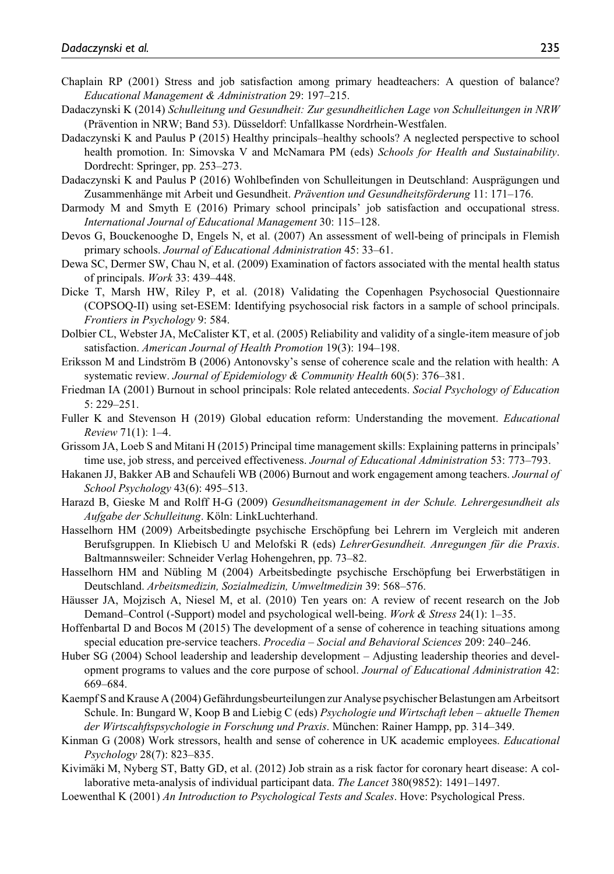- Chaplain RP (2001) Stress and job satisfaction among primary headteachers: A question of balance? *Educational Management & Administration* 29: 197–215.
- Dadaczynski K (2014) *Schulleitung und Gesundheit: Zur gesundheitlichen Lage von Schulleitungen in NRW* (Prävention in NRW; Band 53). Düsseldorf: Unfallkasse Nordrhein-Westfalen.
- Dadaczynski K and Paulus P (2015) Healthy principals–healthy schools? A neglected perspective to school health promotion. In: Simovska V and McNamara PM (eds) *Schools for Health and Sustainability*. Dordrecht: Springer, pp. 253–273.
- Dadaczynski K and Paulus P (2016) Wohlbefinden von Schulleitungen in Deutschland: Ausprägungen und Zusammenhänge mit Arbeit und Gesundheit. *Prävention und Gesundheitsförderung* 11: 171–176.
- Darmody M and Smyth E (2016) Primary school principals' job satisfaction and occupational stress. *International Journal of Educational Management* 30: 115–128.
- Devos G, Bouckenooghe D, Engels N, et al. (2007) An assessment of well-being of principals in Flemish primary schools. *Journal of Educational Administration* 45: 33–61.
- Dewa SC, Dermer SW, Chau N, et al. (2009) Examination of factors associated with the mental health status of principals. *Work* 33: 439–448.
- Dicke T, Marsh HW, Riley P, et al. (2018) Validating the Copenhagen Psychosocial Questionnaire (COPSOQ-II) using set-ESEM: Identifying psychosocial risk factors in a sample of school principals. *Frontiers in Psychology* 9: 584.
- Dolbier CL, Webster JA, McCalister KT, et al. (2005) Reliability and validity of a single-item measure of job satisfaction. *American Journal of Health Promotion* 19(3): 194–198.
- Eriksson M and Lindström B (2006) Antonovsky's sense of coherence scale and the relation with health: A systematic review. *Journal of Epidemiology & Community Health* 60(5): 376–381.
- Friedman IA (2001) Burnout in school principals: Role related antecedents. *Social Psychology of Education* 5: 229–251.
- Fuller K and Stevenson H (2019) Global education reform: Understanding the movement. *Educational Review* 71(1): 1–4.
- Grissom JA, Loeb S and Mitani H (2015) Principal time management skills: Explaining patterns in principals' time use, job stress, and perceived effectiveness. *Journal of Educational Administration* 53: 773–793.
- Hakanen JJ, Bakker AB and Schaufeli WB (2006) Burnout and work engagement among teachers. *Journal of School Psychology* 43(6): 495–513.
- Harazd B, Gieske M and Rolff H-G (2009) *Gesundheitsmanagement in der Schule. Lehrergesundheit als Aufgabe der Schulleitung*. Köln: LinkLuchterhand.
- Hasselhorn HM (2009) Arbeitsbedingte psychische Erschöpfung bei Lehrern im Vergleich mit anderen Berufsgruppen. In Kliebisch U and Melofski R (eds) *LehrerGesundheit. Anregungen für die Praxis*. Baltmannsweiler: Schneider Verlag Hohengehren, pp. 73–82.
- Hasselhorn HM and Nübling M (2004) Arbeitsbedingte psychische Erschöpfung bei Erwerbstätigen in Deutschland. *Arbeitsmedizin, Sozialmedizin, Umweltmedizin* 39: 568–576.
- Häusser JA, Mojzisch A, Niesel M, et al. (2010) Ten years on: A review of recent research on the Job Demand–Control (-Support) model and psychological well-being. *Work & Stress* 24(1): 1–35.
- Hoffenbartal D and Bocos M (2015) The development of a sense of coherence in teaching situations among special education pre-service teachers. *Procedia – Social and Behavioral Sciences* 209: 240–246.
- Huber SG (2004) School leadership and leadership development Adjusting leadership theories and development programs to values and the core purpose of school. *Journal of Educational Administration* 42: 669–684.
- Kaempf S and Krause A (2004) Gefährdungsbeurteilungen zur Analyse psychischer Belastungen am Arbeitsort Schule. In: Bungard W, Koop B and Liebig C (eds) *Psychologie und Wirtschaft leben – aktuelle Themen der Wirtscahftspsychologie in Forschung und Praxis*. München: Rainer Hampp, pp. 314–349.
- Kinman G (2008) Work stressors, health and sense of coherence in UK academic employees. *Educational Psychology* 28(7): 823–835.
- Kivimäki M, Nyberg ST, Batty GD, et al. (2012) Job strain as a risk factor for coronary heart disease: A collaborative meta-analysis of individual participant data. *The Lancet* 380(9852): 1491–1497.
- Loewenthal K (2001) *An Introduction to Psychological Tests and Scales*. Hove: Psychological Press.